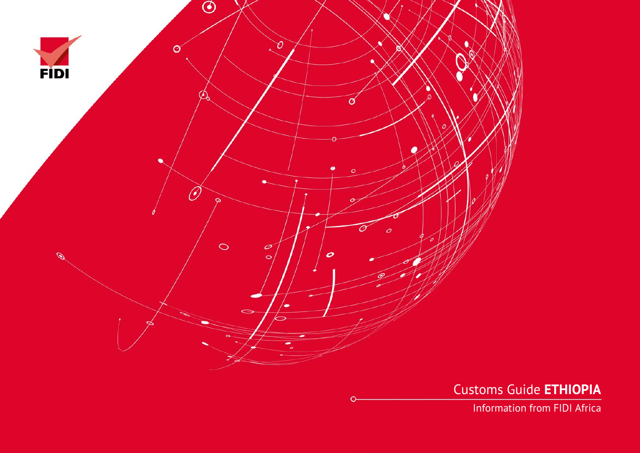

Customs Guide **ETHIOPIA**

Information from FIDI Africa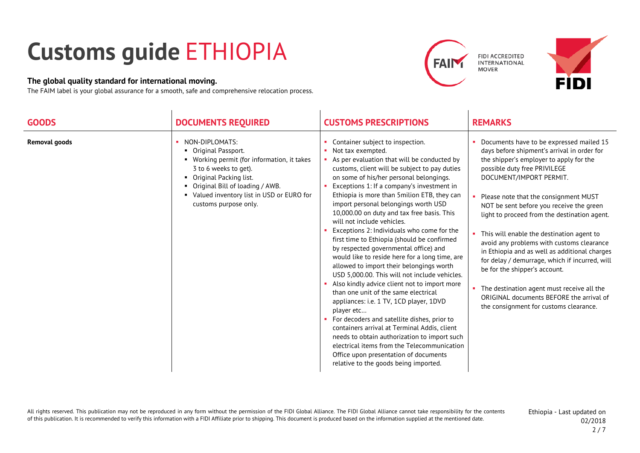## **Customs guide** ETHIOPIA

## **The global quality standard for international moving.**

The FAIM label is your global assurance for a smooth, safe and comprehensive relocation process.





| <b>GOODS</b>         | <b>DOCUMENTS REQUIRED</b>                                                                                                                                                                                                                          | <b>CUSTOMS PRESCRIPTIONS</b>                                                                                                                                                                                                                                                                                                                                                                                                                                                                                                                                                                                                                                                                                                                                                                                                                                                                                                                                                                                                                                                                                                               | <b>REMARKS</b>                                                                                                                                                                                                                                                                                                                                                                                                                                                                                                                                                                                                                                                                                           |
|----------------------|----------------------------------------------------------------------------------------------------------------------------------------------------------------------------------------------------------------------------------------------------|--------------------------------------------------------------------------------------------------------------------------------------------------------------------------------------------------------------------------------------------------------------------------------------------------------------------------------------------------------------------------------------------------------------------------------------------------------------------------------------------------------------------------------------------------------------------------------------------------------------------------------------------------------------------------------------------------------------------------------------------------------------------------------------------------------------------------------------------------------------------------------------------------------------------------------------------------------------------------------------------------------------------------------------------------------------------------------------------------------------------------------------------|----------------------------------------------------------------------------------------------------------------------------------------------------------------------------------------------------------------------------------------------------------------------------------------------------------------------------------------------------------------------------------------------------------------------------------------------------------------------------------------------------------------------------------------------------------------------------------------------------------------------------------------------------------------------------------------------------------|
| <b>Removal goods</b> | NON-DIPLOMATS:<br>Original Passport.<br>• Working permit (for information, it takes<br>3 to 6 weeks to get).<br>Original Packing list.<br>• Original Bill of loading / AWB.<br>• Valued inventory list in USD or EURO for<br>customs purpose only. | Container subject to inspection.<br>Not tax exempted.<br>As per evaluation that will be conducted by<br>customs, client will be subject to pay duties<br>on some of his/her personal belongings.<br>Exceptions 1: If a company's investment in<br>Ethiopia is more than 5 milion ETB, they can<br>import personal belongings worth USD<br>10,000.00 on duty and tax free basis. This<br>will not include vehicles.<br>Exceptions 2: Individuals who come for the<br>first time to Ethiopia (should be confirmed<br>by respected governmental office) and<br>would like to reside here for a long time, are<br>allowed to import their belongings worth<br>USD 5,000.00. This will not include vehicles.<br>• Also kindly advice client not to import more<br>than one unit of the same electrical<br>appliances: i.e. 1 TV, 1CD player, 1DVD<br>player etc<br>For decoders and satellite dishes, prior to<br>containers arrival at Terminal Addis, client<br>needs to obtain authorization to import such<br>electrical items from the Telecommunication<br>Office upon presentation of documents<br>relative to the goods being imported. | Documents have to be expressed mailed 15<br>days before shipment's arrival in order for<br>the shipper's employer to apply for the<br>possible duty free PRIVILEGE<br>DOCUMENT/IMPORT PERMIT.<br>Please note that the consignment MUST<br>NOT be sent before you receive the green<br>light to proceed from the destination agent.<br>• This will enable the destination agent to<br>avoid any problems with customs clearance<br>in Ethiopia and as well as additional charges<br>for delay / demurrage, which if incurred, will<br>be for the shipper's account.<br>• The destination agent must receive all the<br>ORIGINAL documents BEFORE the arrival of<br>the consignment for customs clearance. |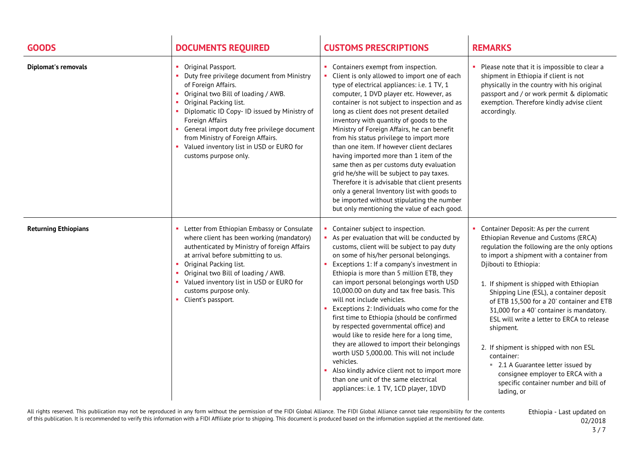| <b>GOODS</b>                | <b>DOCUMENTS REQUIRED</b>                                                                                                                                                                                                                                                                                                                                                                  | <b>CUSTOMS PRESCRIPTIONS</b>                                                                                                                                                                                                                                                                                                                                                                                                                                                                                                                                                                                                                                                                                                                                                                                                   | <b>REMARKS</b>                                                                                                                                                                                                                                                                                                                                                                                                                                                                                                                                                                                                                              |
|-----------------------------|--------------------------------------------------------------------------------------------------------------------------------------------------------------------------------------------------------------------------------------------------------------------------------------------------------------------------------------------------------------------------------------------|--------------------------------------------------------------------------------------------------------------------------------------------------------------------------------------------------------------------------------------------------------------------------------------------------------------------------------------------------------------------------------------------------------------------------------------------------------------------------------------------------------------------------------------------------------------------------------------------------------------------------------------------------------------------------------------------------------------------------------------------------------------------------------------------------------------------------------|---------------------------------------------------------------------------------------------------------------------------------------------------------------------------------------------------------------------------------------------------------------------------------------------------------------------------------------------------------------------------------------------------------------------------------------------------------------------------------------------------------------------------------------------------------------------------------------------------------------------------------------------|
| <b>Diplomat's removals</b>  | Original Passport.<br>Duty free privilege document from Ministry<br>of Foreign Affairs.<br>• Original two Bill of loading / AWB.<br>Original Packing list.<br>Diplomatic ID Copy- ID issued by Ministry of<br>Foreign Affairs<br>• General import duty free privilege document<br>from Ministry of Foreign Affairs.<br>• Valued inventory list in USD or EURO for<br>customs purpose only. | • Containers exempt from inspection.<br>Client is only allowed to import one of each<br>type of electrical appliances: i.e. 1 TV, 1<br>computer, 1 DVD player etc. However, as<br>container is not subject to inspection and as<br>long as client does not present detailed<br>inventory with quantity of goods to the<br>Ministry of Foreign Affairs, he can benefit<br>from his status privilege to import more<br>than one item. If however client declares<br>having imported more than 1 item of the<br>same then as per customs duty evaluation<br>grid he/she will be subject to pay taxes.<br>Therefore it is advisable that client presents<br>only a general Inventory list with goods to<br>be imported without stipulating the number<br>but only mentioning the value of each good.                               | • Please note that it is impossible to clear a<br>shipment in Ethiopia if client is not<br>physically in the country with his original<br>passport and / or work permit & diplomatic<br>exemption. Therefore kindly advise client<br>accordingly.                                                                                                                                                                                                                                                                                                                                                                                           |
| <b>Returning Ethiopians</b> | Letter from Ethiopian Embassy or Consulate<br>where client has been working (mandatory)<br>authenticated by Ministry of foreign Affairs<br>at arrival before submitting to us.<br>Original Packing list.<br>Original two Bill of loading / AWB.<br>• Valued inventory list in USD or EURO for<br>customs purpose only.<br>• Client's passport.                                             | • Container subject to inspection.<br>As per evaluation that will be conducted by<br>customs, client will be subject to pay duty<br>on some of his/her personal belongings.<br>Exceptions 1: If a company's investment in<br>Ethiopia is more than 5 million ETB, they<br>can import personal belongings worth USD<br>10,000.00 on duty and tax free basis. This<br>will not include vehicles.<br>Exceptions 2: Individuals who come for the<br>first time to Ethiopia (should be confirmed<br>by respected governmental office) and<br>would like to reside here for a long time,<br>they are allowed to import their belongings<br>worth USD 5,000.00. This will not include<br>vehicles.<br>Also kindly advice client not to import more<br>than one unit of the same electrical<br>appliances: i.e. 1 TV, 1CD player, 1DVD | Container Deposit: As per the current<br>Ethiopian Revenue and Customs (ERCA)<br>regulation the following are the only options<br>to import a shipment with a container from<br>Djibouti to Ethiopia:<br>1. If shipment is shipped with Ethiopian<br>Shipping Line (ESL), a container deposit<br>of ETB 15,500 for a 20' container and ETB<br>31,000 for a 40' container is mandatory.<br>ESL will write a letter to ERCA to release<br>shipment.<br>2. If shipment is shipped with non ESL<br>container:<br>■ 2.1 A Guarantee letter issued by<br>consignee employer to ERCA with a<br>specific container number and bill of<br>lading, or |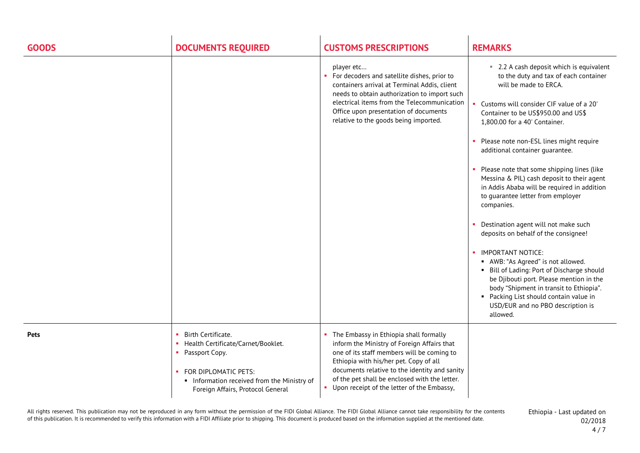| <b>GOODS</b> | <b>DOCUMENTS REQUIRED</b>                                                                                                                                                                  | <b>CUSTOMS PRESCRIPTIONS</b>                                                                                                                                                                                                                                                                                                    | <b>REMARKS</b>                                                                                                                                                                                                                                                                                                                                                                                                                                                                                                                                                                                                                                                                                                                                                                                                                                                                                                      |
|--------------|--------------------------------------------------------------------------------------------------------------------------------------------------------------------------------------------|---------------------------------------------------------------------------------------------------------------------------------------------------------------------------------------------------------------------------------------------------------------------------------------------------------------------------------|---------------------------------------------------------------------------------------------------------------------------------------------------------------------------------------------------------------------------------------------------------------------------------------------------------------------------------------------------------------------------------------------------------------------------------------------------------------------------------------------------------------------------------------------------------------------------------------------------------------------------------------------------------------------------------------------------------------------------------------------------------------------------------------------------------------------------------------------------------------------------------------------------------------------|
|              |                                                                                                                                                                                            | player etc<br>• For decoders and satellite dishes, prior to<br>containers arrival at Terminal Addis, client<br>needs to obtain authorization to import such<br>electrical items from the Telecommunication<br>Office upon presentation of documents<br>relative to the goods being imported.                                    | ■ 2.2 A cash deposit which is equivalent<br>to the duty and tax of each container<br>will be made to ERCA.<br>Customs will consider CIF value of a 20'<br>Container to be US\$950.00 and US\$<br>1,800.00 for a 40' Container.<br>• Please note non-ESL lines might require<br>additional container guarantee.<br>• Please note that some shipping lines (like<br>Messina & PIL) cash deposit to their agent<br>in Addis Ababa will be required in addition<br>to guarantee letter from employer<br>companies.<br>Destination agent will not make such<br>deposits on behalf of the consignee!<br>IMPORTANT NOTICE:<br>$\mathbf{H}^{\mathrm{c}}$<br>AWB: "As Agreed" is not allowed.<br>• Bill of Lading: Port of Discharge should<br>be Djibouti port. Please mention in the<br>body "Shipment in transit to Ethiopia".<br>• Packing List should contain value in<br>USD/EUR and no PBO description is<br>allowed. |
| <b>Pets</b>  | Birth Certificate.<br>• Health Certificate/Carnet/Booklet.<br>• Passport Copy.<br>• FOR DIPLOMATIC PETS:<br>Information received from the Ministry of<br>Foreign Affairs, Protocol General | The Embassy in Ethiopia shall formally<br>inform the Ministry of Foreign Affairs that<br>one of its staff members will be coming to<br>Ethiopia with his/her pet. Copy of all<br>documents relative to the identity and sanity<br>of the pet shall be enclosed with the letter.<br>• Upon receipt of the letter of the Embassy, |                                                                                                                                                                                                                                                                                                                                                                                                                                                                                                                                                                                                                                                                                                                                                                                                                                                                                                                     |

All rights reserved. This publication may not be reproduced in any form without the permission of the FIDI Global Alliance. The FIDI Global Alliance cannot take responsibility for the contents of this publication. It is recommended to verify this information with a FIDI Affiliate prior to shipping. This document is produced based on the information supplied at the mentioned date.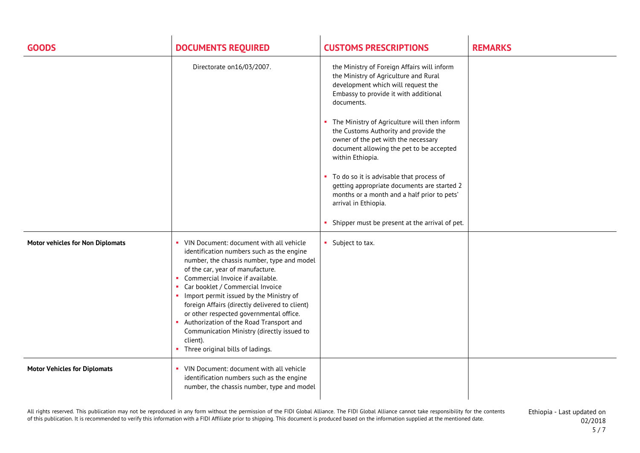| <b>GOODS</b>                            | <b>DOCUMENTS REQUIRED</b>                                                                                                                                                                                                                                                                                                                                                                                                                                                                                                               | <b>CUSTOMS PRESCRIPTIONS</b>                                                                                                                                                                                                                                                                                                                                                                                                                                                                                                                                                                            | <b>REMARKS</b> |
|-----------------------------------------|-----------------------------------------------------------------------------------------------------------------------------------------------------------------------------------------------------------------------------------------------------------------------------------------------------------------------------------------------------------------------------------------------------------------------------------------------------------------------------------------------------------------------------------------|---------------------------------------------------------------------------------------------------------------------------------------------------------------------------------------------------------------------------------------------------------------------------------------------------------------------------------------------------------------------------------------------------------------------------------------------------------------------------------------------------------------------------------------------------------------------------------------------------------|----------------|
|                                         | Directorate on16/03/2007.                                                                                                                                                                                                                                                                                                                                                                                                                                                                                                               | the Ministry of Foreign Affairs will inform<br>the Ministry of Agriculture and Rural<br>development which will request the<br>Embassy to provide it with additional<br>documents.<br>The Ministry of Agriculture will then inform<br>the Customs Authority and provide the<br>owner of the pet with the necessary<br>document allowing the pet to be accepted<br>within Ethiopia.<br>• To do so it is advisable that process of<br>getting appropriate documents are started 2<br>months or a month and a half prior to pets'<br>arrival in Ethiopia.<br>Shipper must be present at the arrival of pet. |                |
| <b>Motor vehicles for Non Diplomats</b> | • VIN Document: document with all vehicle<br>identification numbers such as the engine<br>number, the chassis number, type and model<br>of the car, year of manufacture.<br>• Commercial Invoice if available.<br>Car booklet / Commercial Invoice<br>Import permit issued by the Ministry of<br>foreign Affairs (directly delivered to client)<br>or other respected governmental office.<br>• Authorization of the Road Transport and<br>Communication Ministry (directly issued to<br>client).<br>• Three original bills of ladings. | • Subject to tax.                                                                                                                                                                                                                                                                                                                                                                                                                                                                                                                                                                                       |                |
| <b>Motor Vehicles for Diplomats</b>     | • VIN Document: document with all vehicle<br>identification numbers such as the engine<br>number, the chassis number, type and model                                                                                                                                                                                                                                                                                                                                                                                                    |                                                                                                                                                                                                                                                                                                                                                                                                                                                                                                                                                                                                         |                |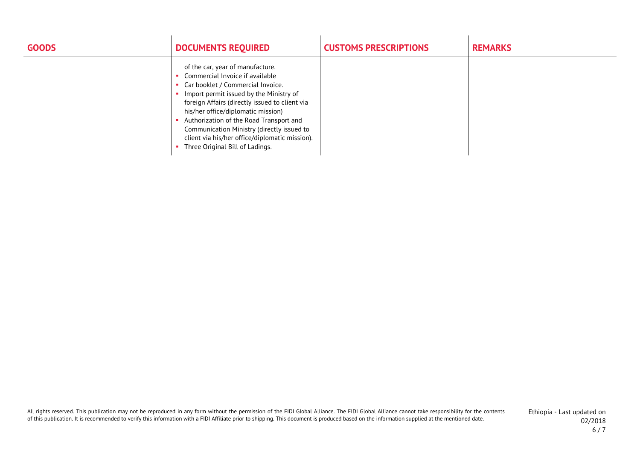| <b>GOODS</b> | <b>DOCUMENTS REQUIRED</b>                                                                                                                                                                                                                                                                                                                                                                                                 | <b>CUSTOMS PRESCRIPTIONS</b> | <b>REMARKS</b> |
|--------------|---------------------------------------------------------------------------------------------------------------------------------------------------------------------------------------------------------------------------------------------------------------------------------------------------------------------------------------------------------------------------------------------------------------------------|------------------------------|----------------|
|              | of the car, year of manufacture.<br>Commercial Invoice if available<br>Car booklet / Commercial Invoice.<br>Import permit issued by the Ministry of<br>foreign Affairs (directly issued to client via<br>his/her office/diplomatic mission)<br>Authorization of the Road Transport and<br>Communication Ministry (directly issued to<br>client via his/her office/diplomatic mission).<br>Three Original Bill of Ladings. |                              |                |